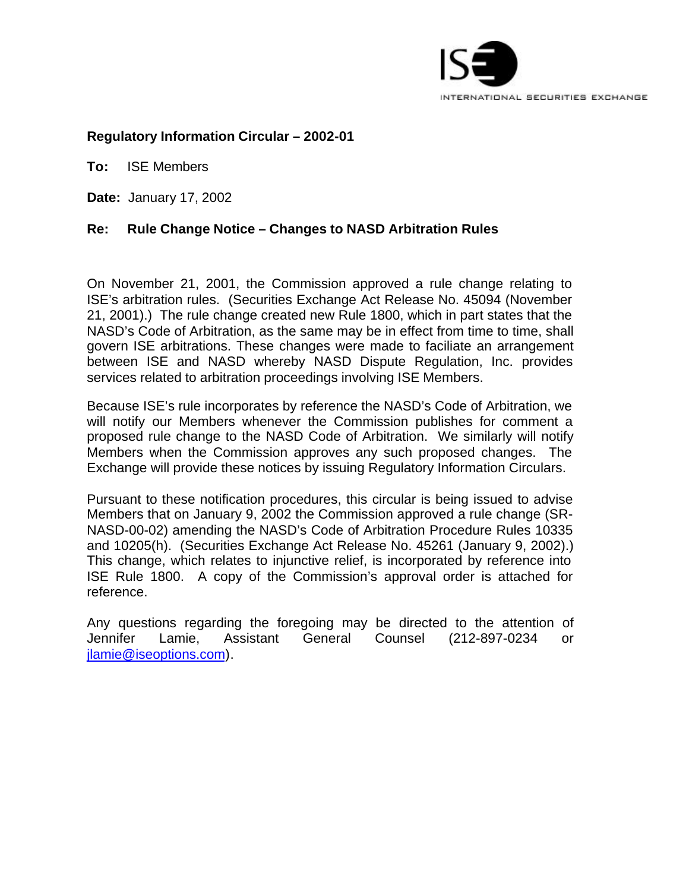

# **Regulatory Information Circular – 2002-01**

**To:** ISE Members

**Date:** January 17, 2002

# **Re: Rule Change Notice – Changes to NASD Arbitration Rules**

On November 21, 2001, the Commission approved a rule change relating to ISE's arbitration rules. (Securities Exchange Act Release No. 45094 (November 21, 2001).) The rule change created new Rule 1800, which in part states that the NASD's Code of Arbitration, as the same may be in effect from time to time, shall govern ISE arbitrations. These changes were made to faciliate an arrangement between ISE and NASD whereby NASD Dispute Regulation, Inc. provides services related to arbitration proceedings involving ISE Members.

Because ISE's rule incorporates by reference the NASD's Code of Arbitration, we will notify our Members whenever the Commission publishes for comment a proposed rule change to the NASD Code of Arbitration. We similarly will notify Members when the Commission approves any such proposed changes. The Exchange will provide these notices by issuing Regulatory Information Circulars.

Pursuant to these notification procedures, this circular is being issued to advise Members that on January 9, 2002 the Commission approved a rule change (SR-NASD-00-02) amending the NASD's Code of Arbitration Procedure Rules 10335 and 10205(h). (Securities Exchange Act Release No. 45261 (January 9, 2002).) This change, which relates to injunctive relief, is incorporated by reference into ISE Rule 1800. A copy of the Commission's approval order is attached for reference.

Any questions regarding the foregoing may be directed to the attention of Jennifer Lamie, Assistant General Counsel (212-897-0234 or jlamie@iseoptions.com).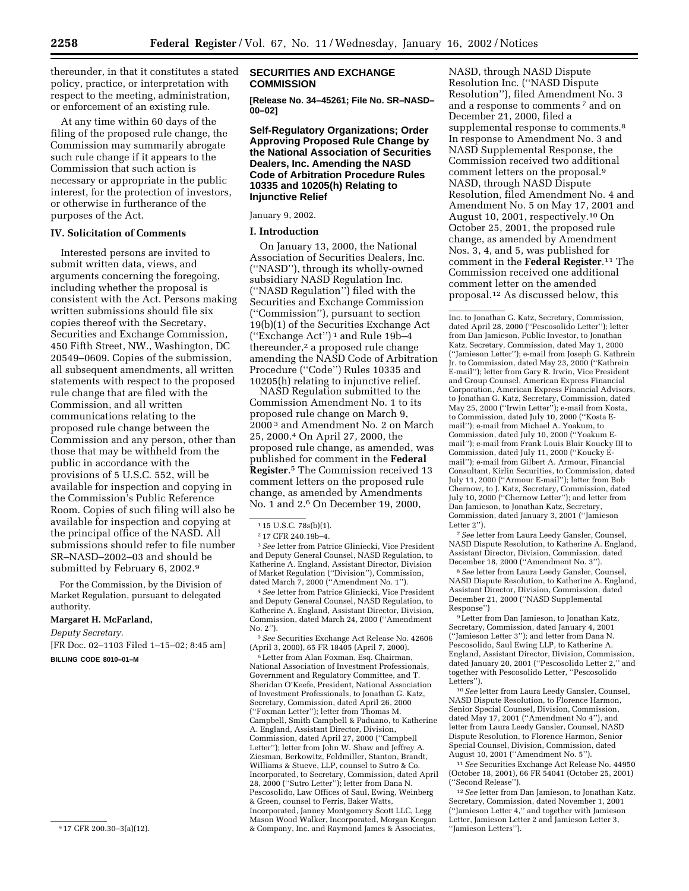thereunder, in that it constitutes a stated policy, practice, or interpretation with respect to the meeting, administration, or enforcement of an existing rule.

At any time within 60 days of the filing of the proposed rule change, the Commission may summarily abrogate such rule change if it appears to the Commission that such action is necessary or appropriate in the public interest, for the protection of investors, or otherwise in furtherance of the purposes of the Act.

# **IV. Solicitation of Comments**

Interested persons are invited to submit written data, views, and arguments concerning the foregoing, including whether the proposal is consistent with the Act. Persons making written submissions should file six copies thereof with the Secretary, Securities and Exchange Commission, 450 Fifth Street, NW., Washington, DC 20549–0609. Copies of the submission, all subsequent amendments, all written statements with respect to the proposed rule change that are filed with the Commission, and all written communications relating to the proposed rule change between the Commission and any person, other than those that may be withheld from the public in accordance with the provisions of 5 U.S.C. 552, will be available for inspection and copying in the Commission's Public Reference Room. Copies of such filing will also be available for inspection and copying at the principal office of the NASD. All submissions should refer to file number SR–NASD–2002–03 and should be submitted by February 6, 2002.9

For the Commission, by the Division of Market Regulation, pursuant to delegated authority.

#### **Margaret H. McFarland,**

*Deputy Secretary.* [FR Doc. 02–1103 Filed 1–15–02; 8:45 am] **BILLING CODE 8010–01–M**

#### **SECURITIES AND EXCHANGE COMMISSION**

**[Release No. 34–45261; File No. SR–NASD– 00–02]**

**Self-Regulatory Organizations; Order Approving Proposed Rule Change by the National Association of Securities Dealers, Inc. Amending the NASD Code of Arbitration Procedure Rules 10335 and 10205(h) Relating to Injunctive Relief**

January 9, 2002.

#### **I. Introduction**

On January 13, 2000, the National Association of Securities Dealers, Inc. (''NASD''), through its wholly-owned subsidiary NASD Regulation Inc. (''NASD Regulation'') filed with the Securities and Exchange Commission (''Commission''), pursuant to section 19(b)(1) of the Securities Exchange Act (''Exchange Act'') 1 and Rule 19b–4 thereunder,<sup>2</sup> a proposed rule change amending the NASD Code of Arbitration Procedure (''Code'') Rules 10335 and 10205(h) relating to injunctive relief.

NASD Regulation submitted to the Commission Amendment No. 1 to its proposed rule change on March 9, 2000 3 and Amendment No. 2 on March 25, 2000.4 On April 27, 2000, the proposed rule change, as amended, was published for comment in the **Federal Register**.5 The Commission received 13 comment letters on the proposed rule change, as amended by Amendments No. 1 and 2.6 On December 19, 2000,

3*See* letter from Patrice Gliniecki, Vice President and Deputy General Counsel, NASD Regulation, to Katherine A. England, Assistant Director, Division of Market Regulation (''Division''), Commission, dated March 7, 2000 (''Amendment No. 1'').

4*See* letter from Patrice Gliniecki, Vice President and Deputy General Counsel, NASD Regulation, to Katherine A. England, Assistant Director, Division, Commission, dated March 24, 2000 (''Amendment No. 2'').

5*See* Securities Exchange Act Release No. 42606 (April 3, 2000), 65 FR 18405 (April 7, 2000).

6Letter from Alan Foxman, Esq. Chairman, National Association of Investment Professionals, Government and Regulatory Committee, and T. Sheridan O'Keefe, President, National Association of Investment Professionals, to Jonathan G. Katz, Secretary, Commission, dated April 26, 2000 (''Foxman Letter''); letter from Thomas M. Campbell, Smith Campbell & Paduano, to Katherine A. England, Assistant Director, Division, Commission, dated April 27, 2000 (''Campbell Letter''); letter from John W. Shaw and Jeffrey A. Ziesman, Berkowitz, Feldmiller, Stanton, Brandt, Williams & Stueve, LLP, counsel to Sutro & Co. Incorporated, to Secretary, Commission, dated April 28, 2000 (''Sutro Letter''); letter from Dana N. Pescosolido, Law Offices of Saul, Ewing, Weinberg & Green, counsel to Ferris, Baker Watts, Incorporated, Janney Montgomery Scott LLC, Legg Mason Wood Walker, Incorporated, Morgan Keegan & Company, Inc. and Raymond James & Associates,

NASD, through NASD Dispute Resolution Inc. (''NASD Dispute Resolution''), filed Amendment No. 3 and a response to comments 7 and on December 21, 2000, filed a supplemental response to comments.<sup>8</sup> In response to Amendment No. 3 and NASD Supplemental Response, the Commission received two additional comment letters on the proposal.9 NASD, through NASD Dispute Resolution, filed Amendment No. 4 and Amendment No. 5 on May 17, 2001 and August 10, 2001, respectively.10 On October 25, 2001, the proposed rule change, as amended by Amendment Nos. 3, 4, and 5, was published for comment in the **Federal Register**.11 The Commission received one additional comment letter on the amended proposal.12 As discussed below, this

Inc. to Jonathan G. Katz, Secretary, Commission, dated April 28, 2000 (''Pescosolido Letter''); letter from Dan Jamieson, Public Investor, to Jonathan Katz, Secretary, Commission, dated May 1, 2000 (''Jamieson Letter''); e-mail from Joseph G. Kathrein Jr. to Commission, dated May 23, 2000 (''Kathrein E-mail''); letter from Gary R. Irwin, Vice President and Group Counsel, American Express Financial Corporation, American Express Financial Advisors, to Jonathan G. Katz, Secretary, Commission, dated May 25, 2000 (''Irwin Letter''); e-mail from Kosta, to Commission, dated July 10, 2000 (''Kosta Email''); e-mail from Michael A. Yoakum, to Commission, dated July 10, 2000 (''Yoakum Email''); e-mail from Frank Louis Blair Koucky III to Commission, dated July 11, 2000 (''Koucky Email''); e-mail from Gilbert A. Armour, Financial Consultant, Kirlin Securities, to Commission, dated July 11, 2000 (''Armour E-mail''); letter from Bob Chernow, to J. Katz, Secretary, Commission, dated July 10, 2000 (''Chernow Letter''); and letter from Dan Jamieson, to Jonathan Katz, Secretary, Commission, dated January 3, 2001 (''Jamieson Letter 2'').

7*See* letter from Laura Leedy Gansler, Counsel, NASD Dispute Resolution, to Katherine A. England, Assistant Director, Division, Commission, dated December 18, 2000 (''Amendment No. 3'').

8*See* letter from Laura Leedy Gansler, Counsel, NASD Dispute Resolution, to Katherine A. England, Assistant Director, Division, Commission, dated December 21, 2000 (''NASD Supplemental Response'')

9Letter from Dan Jamieson, to Jonathan Katz, Secretary, Commission, dated January 4, 2001 (''Jamieson Letter 3''); and letter from Dana N. Pescosolido, Saul Ewing LLP, to Katherine A. England, Assistant Director, Division, Commission, dated January 20, 2001 (''Pescosolido Letter 2,'' and together with Pescosolido Letter, ''Pescosolido Letters'').

10*See* letter from Laura Leedy Gansler, Counsel, NASD Dispute Resolution, to Florence Harmon, Senior Special Counsel, Division, Commission, dated May 17, 2001 (''Amendment No 4''), and letter from Laura Leedy Gansler, Counsel, NASD Dispute Resolution, to Florence Harmon, Senior Special Counsel, Division, Commission, dated August 10, 2001 (''Amendment No. 5'').

11*See* Securities Exchange Act Release No. 44950 (October 18, 2001), 66 FR 54041 (October 25, 2001) (''Second Release'').

12*See* letter from Dan Jamieson, to Jonathan Katz, Secretary, Commission, dated November 1, 2001 (''Jamieson Letter 4,'' and together with Jamieson Letter, Jamieson Letter 2 and Jamieson Letter 3, ''Jamieson Letters'').

<sup>9</sup> 17 CFR 200.30–3(a)(12).

<sup>&</sup>lt;sup>1</sup> 15 U.S.C. 78s(b)(1).

<sup>2</sup> 17 CFR 240.19b–4.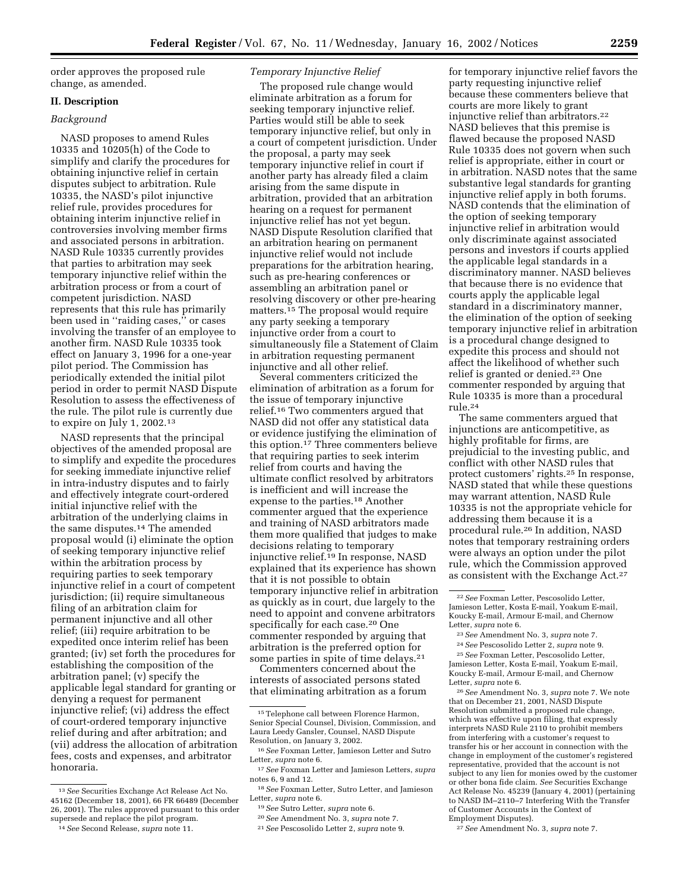order approves the proposed rule change, as amended.

#### **II. Description**

# *Background*

NASD proposes to amend Rules 10335 and 10205(h) of the Code to simplify and clarify the procedures for obtaining injunctive relief in certain disputes subject to arbitration. Rule 10335, the NASD's pilot injunctive relief rule, provides procedures for obtaining interim injunctive relief in controversies involving member firms and associated persons in arbitration. NASD Rule 10335 currently provides that parties to arbitration may seek temporary injunctive relief within the arbitration process or from a court of competent jurisdiction. NASD represents that this rule has primarily been used in ''raiding cases,'' or cases involving the transfer of an employee to another firm. NASD Rule 10335 took effect on January 3, 1996 for a one-year pilot period. The Commission has periodically extended the initial pilot period in order to permit NASD Dispute Resolution to assess the effectiveness of the rule. The pilot rule is currently due to expire on July 1, 2002.13

NASD represents that the principal objectives of the amended proposal are to simplify and expedite the procedures for seeking immediate injunctive relief in intra-industry disputes and to fairly and effectively integrate court-ordered initial injunctive relief with the arbitration of the underlying claims in the same disputes.14 The amended proposal would (i) eliminate the option of seeking temporary injunctive relief within the arbitration process by requiring parties to seek temporary injunctive relief in a court of competent jurisdiction; (ii) require simultaneous filing of an arbitration claim for permanent injunctive and all other relief; (iii) require arbitration to be expedited once interim relief has been granted; (iv) set forth the procedures for establishing the composition of the arbitration panel; (v) specify the applicable legal standard for granting or denying a request for permanent injunctive relief; (vi) address the effect of court-ordered temporary injunctive relief during and after arbitration; and (vii) address the allocation of arbitration fees, costs and expenses, and arbitrator honoraria.

14*See* Second Release, *supra* note 11.

### *Temporary Injunctive Relief*

The proposed rule change would eliminate arbitration as a forum for seeking temporary injunctive relief. Parties would still be able to seek temporary injunctive relief, but only in a court of competent jurisdiction. Under the proposal, a party may seek temporary injunctive relief in court if another party has already filed a claim arising from the same dispute in arbitration, provided that an arbitration hearing on a request for permanent injunctive relief has not yet begun. NASD Dispute Resolution clarified that an arbitration hearing on permanent injunctive relief would not include preparations for the arbitration hearing, such as pre-hearing conferences or assembling an arbitration panel or resolving discovery or other pre-hearing matters.15 The proposal would require any party seeking a temporary injunctive order from a court to simultaneously file a Statement of Claim in arbitration requesting permanent injunctive and all other relief.

Several commenters criticized the elimination of arbitration as a forum for the issue of temporary injunctive relief.16 Two commenters argued that NASD did not offer any statistical data or evidence justifying the elimination of this option.17 Three commenters believe that requiring parties to seek interim relief from courts and having the ultimate conflict resolved by arbitrators is inefficient and will increase the expense to the parties.18 Another commenter argued that the experience and training of NASD arbitrators made them more qualified that judges to make decisions relating to temporary injunctive relief.19 In response, NASD explained that its experience has shown that it is not possible to obtain temporary injunctive relief in arbitration as quickly as in court, due largely to the need to appoint and convene arbitrators specifically for each case.20 One commenter responded by arguing that arbitration is the preferred option for some parties in spite of time delays.21

Commenters concerned about the interests of associated persons stated that eliminating arbitration as a forum

for temporary injunctive relief favors the party requesting injunctive relief because these commenters believe that courts are more likely to grant injunctive relief than arbitrators.22 NASD believes that this premise is flawed because the proposed NASD Rule 10335 does not govern when such relief is appropriate, either in court or in arbitration. NASD notes that the same substantive legal standards for granting injunctive relief apply in both forums. NASD contends that the elimination of the option of seeking temporary injunctive relief in arbitration would only discriminate against associated persons and investors if courts applied the applicable legal standards in a discriminatory manner. NASD believes that because there is no evidence that courts apply the applicable legal standard in a discriminatory manner, the elimination of the option of seeking temporary injunctive relief in arbitration is a procedural change designed to expedite this process and should not affect the likelihood of whether such relief is granted or denied.23 One commenter responded by arguing that Rule 10335 is more than a procedural rule.24

The same commenters argued that injunctions are anticompetitive, as highly profitable for firms, are prejudicial to the investing public, and conflict with other NASD rules that protect customers' rights.25 In response, NASD stated that while these questions may warrant attention, NASD Rule 10335 is not the appropriate vehicle for addressing them because it is a procedural rule.26 In addition, NASD notes that temporary restraining orders were always an option under the pilot rule, which the Commission approved as consistent with the Exchange Act.27

24*See* Pescosolido Letter 2, *supra* note 9. 25*See* Foxman Letter, Pescosolido Letter, Jamieson Letter, Kosta E-mail, Yoakum E-mail, Koucky E-mail, Armour E-mail, and Chernow Letter, *supra* note 6.

26*See* Amendment No. 3, *supra* note 7. We note that on December 21, 2001, NASD Dispute Resolution submitted a proposed rule change, which was effective upon filing, that expressly interprets NASD Rule 2110 to prohibit members from interfering with a customer's request to transfer his or her account in connection with the change in employment of the customer's registered representative, provided that the account is not subject to any lien for monies owed by the customer or other bona fide claim. *See* Securities Exchange Act Release No. 45239 (January 4, 2001) (pertaining to NASD IM–2110–7 Interfering With the Transfer of Customer Accounts in the Context of Employment Disputes).

27*See* Amendment No. 3, *supra* note 7.

<sup>13</sup>*See* Securities Exchange Act Release Act No. 45162 (December 18, 2001), 66 FR 66489 (December 26, 2001). The rules approved pursuant to this order supersede and replace the pilot program.

<sup>15</sup>Telephone call between Florence Harmon, Senior Special Counsel, Division, Commission, and Laura Leedy Gansler, Counsel, NASD Dispute Resolution, on January 3, 2002.

<sup>16</sup>*See* Foxman Letter, Jamieson Letter and Sutro Letter, *supra* note 6.

<sup>17</sup>*See* Foxman Letter and Jamieson Letters, *supra* notes 6, 9 and 12.

<sup>18</sup>*See* Foxman Letter, Sutro Letter, and Jamieson Letter, *supra* note 6.

<sup>19</sup>*See* Sutro Letter, *supra* note 6.

<sup>20</sup>*See* Amendment No. 3, *supra* note 7.

<sup>21</sup>*See* Pescosolido Letter 2, *supra* note 9.

<sup>22</sup>*See* Foxman Letter, Pescosolido Letter, Jamieson Letter, Kosta E-mail, Yoakum E-mail, Koucky E-mail, Armour E-mail, and Chernow Letter, *supra* note 6.

<sup>23</sup>*See* Amendment No. 3, *supra* note 7.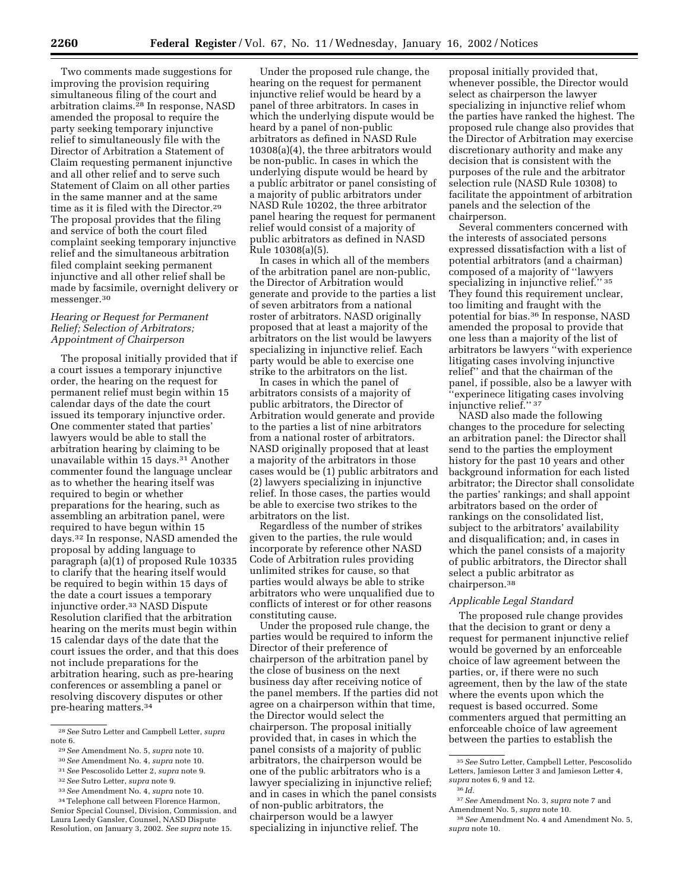Two comments made suggestions for improving the provision requiring simultaneous filing of the court and arbitration claims.28 In response, NASD amended the proposal to require the party seeking temporary injunctive relief to simultaneously file with the Director of Arbitration a Statement of Claim requesting permanent injunctive and all other relief and to serve such Statement of Claim on all other parties in the same manner and at the same time as it is filed with the Director.29 The proposal provides that the filing and service of both the court filed complaint seeking temporary injunctive relief and the simultaneous arbitration filed complaint seeking permanent injunctive and all other relief shall be made by facsimile, overnight delivery or messenger.30

### *Hearing or Request for Permanent Relief; Selection of Arbitrators; Appointment of Chairperson*

The proposal initially provided that if a court issues a temporary injunctive order, the hearing on the request for permanent relief must begin within 15 calendar days of the date the court issued its temporary injunctive order. One commenter stated that parties' lawyers would be able to stall the arbitration hearing by claiming to be unavailable within 15 days.<sup>31</sup> Another commenter found the language unclear as to whether the hearing itself was required to begin or whether preparations for the hearing, such as assembling an arbitration panel, were required to have begun within 15 days.32 In response, NASD amended the proposal by adding language to paragraph (a)(1) of proposed Rule 10335 to clarify that the hearing itself would be required to begin within 15 days of the date a court issues a temporary injunctive order.33 NASD Dispute Resolution clarified that the arbitration hearing on the merits must begin within 15 calendar days of the date that the court issues the order, and that this does not include preparations for the arbitration hearing, such as pre-hearing conferences or assembling a panel or resolving discovery disputes or other pre-hearing matters.34

31*See* Pescosolido Letter 2, *supra* note 9.

33*See* Amendment No. 4, *supra* note 10.

Under the proposed rule change, the hearing on the request for permanent injunctive relief would be heard by a panel of three arbitrators. In cases in which the underlying dispute would be heard by a panel of non-public arbitrators as defined in NASD Rule 10308(a)(4), the three arbitrators would be non-public. In cases in which the underlying dispute would be heard by a public arbitrator or panel consisting of a majority of public arbitrators under NASD Rule 10202, the three arbitrator panel hearing the request for permanent relief would consist of a majority of public arbitrators as defined in NASD Rule 10308(a)(5).

In cases in which all of the members of the arbitration panel are non-public, the Director of Arbitration would generate and provide to the parties a list of seven arbitrators from a national roster of arbitrators. NASD originally proposed that at least a majority of the arbitrators on the list would be lawyers specializing in injunctive relief. Each party would be able to exercise one strike to the arbitrators on the list.

In cases in which the panel of arbitrators consists of a majority of public arbitrators, the Director of Arbitration would generate and provide to the parties a list of nine arbitrators from a national roster of arbitrators. NASD originally proposed that at least a majority of the arbitrators in those cases would be (1) public arbitrators and (2) lawyers specializing in injunctive relief. In those cases, the parties would be able to exercise two strikes to the arbitrators on the list.

Regardless of the number of strikes given to the parties, the rule would incorporate by reference other NASD Code of Arbitration rules providing unlimited strikes for cause, so that parties would always be able to strike arbitrators who were unqualified due to conflicts of interest or for other reasons constituting cause.

Under the proposed rule change, the parties would be required to inform the Director of their preference of chairperson of the arbitration panel by the close of business on the next business day after receiving notice of the panel members. If the parties did not agree on a chairperson within that time, the Director would select the chairperson. The proposal initially provided that, in cases in which the panel consists of a majority of public arbitrators, the chairperson would be one of the public arbitrators who is a lawyer specializing in injunctive relief; and in cases in which the panel consists of non-public arbitrators, the chairperson would be a lawyer specializing in injunctive relief. The

proposal initially provided that, whenever possible, the Director would select as chairperson the lawyer specializing in injunctive relief whom the parties have ranked the highest. The proposed rule change also provides that the Director of Arbitration may exercise discretionary authority and make any decision that is consistent with the purposes of the rule and the arbitrator selection rule (NASD Rule 10308) to facilitate the appointment of arbitration panels and the selection of the chairperson.

Several commenters concerned with the interests of associated persons expressed dissatisfaction with a list of potential arbitrators (and a chairman) composed of a majority of ''lawyers specializing in injunctive relief." 35 They found this requirement unclear, too limiting and fraught with the potential for bias.36 In response, NASD amended the proposal to provide that one less than a majority of the list of arbitrators be lawyers ''with experience litigating cases involving injunctive relief'' and that the chairman of the panel, if possible, also be a lawyer with ''experinece litigating cases involving injunctive relief.'' 37

NASD also made the following changes to the procedure for selecting an arbitration panel: the Director shall send to the parties the employment history for the past 10 years and other background information for each listed arbitrator; the Director shall consolidate the parties' rankings; and shall appoint arbitrators based on the order of rankings on the consolidated list, subject to the arbitrators' availability and disqualification; and, in cases in which the panel consists of a majority of public arbitrators, the Director shall select a public arbitrator as chairperson.38

### *Applicable Legal Standard*

The proposed rule change provides that the decision to grant or deny a request for permanent injunctive relief would be governed by an enforceable choice of law agreement between the parties, or, if there were no such agreement, then by the law of the state where the events upon which the request is based occurred. Some commenters argued that permitting an enforceable choice of law agreement between the parties to establish the

<sup>28</sup>*See* Sutro Letter and Campbell Letter, *supra* note 6.

<sup>29</sup>*See* Amendment No. 5, *supra* note 10.

<sup>30</sup>*See* Amendment No. 4, *supra* note 10.

<sup>32</sup>*See* Sutro Letter, *supra* note 9.

<sup>34</sup>Telephone call between Florence Harmon, Senior Special Counsel, Division, Commission, and Laura Leedy Gansler, Counsel, NASD Dispute Resolution, on January 3, 2002. *See supra* note 15.

<sup>35</sup>*See* Sutro Letter, Campbell Letter, Pescosolido Letters, Jamieson Letter 3 and Jamieson Letter 4, *supra* notes 6, 9 and 12.

<sup>36</sup> *Id.*

<sup>37</sup>*See* Amendment No. 3, *supra* note 7 and Amendment No. 5, *supra* note 10.

<sup>38</sup>*See* Amendment No. 4 and Amendment No. 5, *supra* note 10.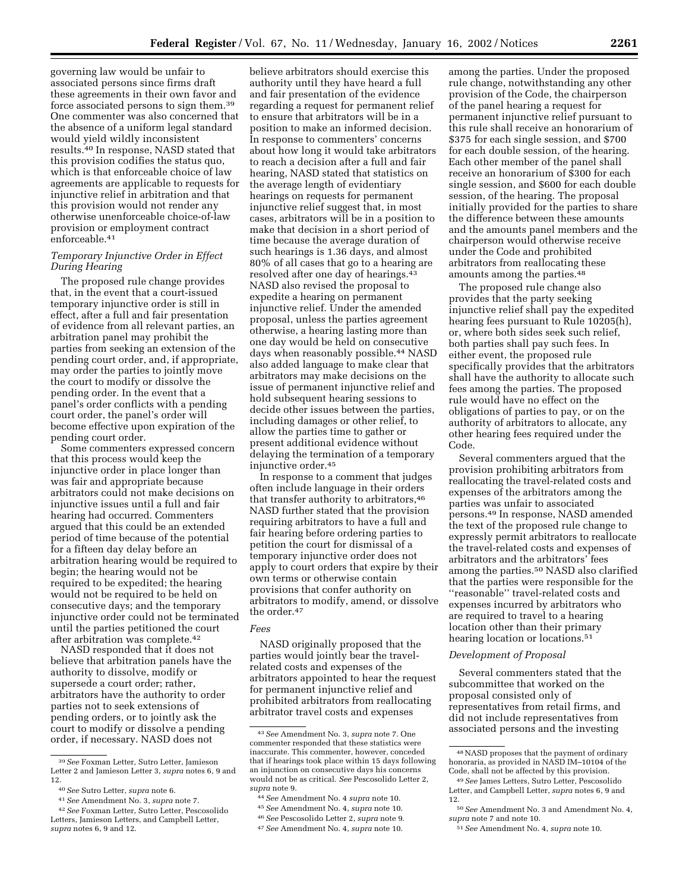governing law would be unfair to associated persons since firms draft these agreements in their own favor and force associated persons to sign them.39 One commenter was also concerned that the absence of a uniform legal standard would yield wildly inconsistent results.40 In response, NASD stated that this provision codifies the status quo, which is that enforceable choice of law agreements are applicable to requests for injunctive relief in arbitration and that this provision would not render any otherwise unenforceable choice-of-law provision or employment contract enforceable.41

### *Temporary Injunctive Order in Effect During Hearing*

The proposed rule change provides that, in the event that a court-issued temporary injunctive order is still in effect, after a full and fair presentation of evidence from all relevant parties, an arbitration panel may prohibit the parties from seeking an extension of the pending court order, and, if appropriate, may order the parties to jointly move the court to modify or dissolve the pending order. In the event that a panel's order conflicts with a pending court order, the panel's order will become effective upon expiration of the pending court order.

Some commenters expressed concern that this process would keep the injunctive order in place longer than was fair and appropriate because arbitrators could not make decisions on injunctive issues until a full and fair hearing had occurred. Commenters argued that this could be an extended period of time because of the potential for a fifteen day delay before an arbitration hearing would be required to begin; the hearing would not be required to be expedited; the hearing would not be required to be held on consecutive days; and the temporary injunctive order could not be terminated until the parties petitioned the court after arbitration was complete.42

NASD responded that it does not believe that arbitration panels have the authority to dissolve, modify or supersede a court order; rather, arbitrators have the authority to order parties not to seek extensions of pending orders, or to jointly ask the court to modify or dissolve a pending order, if necessary. NASD does not

believe arbitrators should exercise this authority until they have heard a full and fair presentation of the evidence regarding a request for permanent relief to ensure that arbitrators will be in a position to make an informed decision. In response to commenters' concerns about how long it would take arbitrators to reach a decision after a full and fair hearing, NASD stated that statistics on the average length of evidentiary hearings on requests for permanent injunctive relief suggest that, in most cases, arbitrators will be in a position to make that decision in a short period of time because the average duration of such hearings is 1.36 days, and almost 80% of all cases that go to a hearing are resolved after one day of hearings.43 NASD also revised the proposal to expedite a hearing on permanent injunctive relief. Under the amended proposal, unless the parties agreement otherwise, a hearing lasting more than one day would be held on consecutive days when reasonably possible.44 NASD also added language to make clear that arbitrators may make decisions on the issue of permanent injunctive relief and hold subsequent hearing sessions to decide other issues between the parties, including damages or other relief, to allow the parties time to gather or present additional evidence without delaying the termination of a temporary injunctive order.45

In response to a comment that judges often include language in their orders that transfer authority to arbitrators, 46 NASD further stated that the provision requiring arbitrators to have a full and fair hearing before ordering parties to petition the court for dismissal of a temporary injunctive order does not apply to court orders that expire by their own terms or otherwise contain provisions that confer authority on arbitrators to modify, amend, or dissolve the order.47

# *Fees*

NASD originally proposed that the parties would jointly bear the travelrelated costs and expenses of the arbitrators appointed to hear the request for permanent injunctive relief and prohibited arbitrators from reallocating arbitrator travel costs and expenses

45*See* Amendment No. 4, *supra* note 10.

among the parties. Under the proposed rule change, notwithstanding any other provision of the Code, the chairperson of the panel hearing a request for permanent injunctive relief pursuant to this rule shall receive an honorarium of \$375 for each single session, and \$700 for each double session, of the hearing. Each other member of the panel shall receive an honorarium of \$300 for each single session, and \$600 for each double session, of the hearing. The proposal initially provided for the parties to share the difference between these amounts and the amounts panel members and the chairperson would otherwise receive under the Code and prohibited arbitrators from reallocating these amounts among the parties.48

The proposed rule change also provides that the party seeking injunctive relief shall pay the expedited hearing fees pursuant to Rule 10205(h), or, where both sides seek such relief, both parties shall pay such fees. In either event, the proposed rule specifically provides that the arbitrators shall have the authority to allocate such fees among the parties. The proposed rule would have no effect on the obligations of parties to pay, or on the authority of arbitrators to allocate, any other hearing fees required under the Code.

Several commenters argued that the provision prohibiting arbitrators from reallocating the travel-related costs and expenses of the arbitrators among the parties was unfair to associated persons.49 In response, NASD amended the text of the proposed rule change to expressly permit arbitrators to reallocate the travel-related costs and expenses of arbitrators and the arbitrators' fees among the parties.50 NASD also clarified that the parties were responsible for the ''reasonable'' travel-related costs and expenses incurred by arbitrators who are required to travel to a hearing location other than their primary hearing location or locations.<sup>51</sup>

#### *Development of Proposal*

Several commenters stated that the subcommittee that worked on the proposal consisted only of representatives from retail firms, and did not include representatives from associated persons and the investing

<sup>39</sup>*See* Foxman Letter, Sutro Letter, Jamieson Letter 2 and Jamieson Letter 3, *supra* notes 6, 9 and 12.

<sup>40</sup>*See* Sutro Letter, *supra* note 6.

<sup>41</sup>*See* Amendment No. 3, *supra* note 7.

<sup>42</sup>*See* Foxman Letter, Sutro Letter, Pescosolido Letters, Jamieson Letters, and Campbell Letter, *supra* notes 6, 9 and 12.

<sup>43</sup>*See* Amendment No. 3, *supra* note 7. One commenter responded that these statistics were inaccurate. This commenter, however, conceded that if hearings took place within 15 days following an injunction on consecutive days his concerns would not be as critical. *See* Pescosolido Letter 2, *supra* note 9.

<sup>44</sup>*See* Amendment No. 4 *supra* note 10.

<sup>46</sup>*See* Pescosolido Letter 2, *supra* note 9.

<sup>47</sup>*See* Amendment No. 4, *supra* note 10.

<sup>48</sup>NASD proposes that the payment of ordinary honoraria, as provided in NASD IM–10104 of the Code, shall not be affected by this provision.

<sup>49</sup>*See* James Letters, Sutro Letter, Pescosolido Letter, and Campbell Letter, *supra* notes 6, 9 and 12.

<sup>50</sup>*See* Amendment No. 3 and Amendment No. 4, *supra* note 7 and note 10.

<sup>51</sup>*See* Amendment No. 4, *supra* note 10.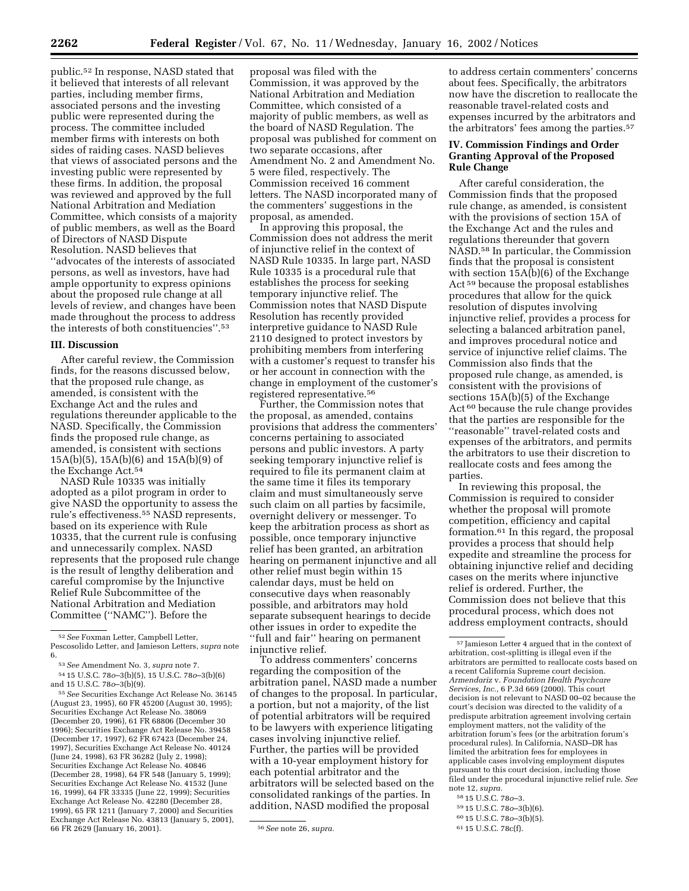public.52 In response, NASD stated that it believed that interests of all relevant parties, including member firms, associated persons and the investing public were represented during the process. The committee included member firms with interests on both sides of raiding cases. NASD believes that views of associated persons and the investing public were represented by these firms. In addition, the proposal was reviewed and approved by the full National Arbitration and Mediation Committee, which consists of a majority of public members, as well as the Board of Directors of NASD Dispute Resolution. NASD believes that ''advocates of the interests of associated persons, as well as investors, have had ample opportunity to express opinions about the proposed rule change at all levels of review, and changes have been made throughout the process to address the interests of both constituencies''.53

# **III. Discussion**

After careful review, the Commission finds, for the reasons discussed below, that the proposed rule change, as amended, is consistent with the Exchange Act and the rules and regulations thereunder applicable to the NASD. Specifically, the Commission finds the proposed rule change, as amended, is consistent with sections 15A(b)(5), 15A(b)(6) and 15A(b)(9) of the Exchange Act.54

NASD Rule 10335 was initially adopted as a pilot program in order to give NASD the opportunity to assess the rule's effectiveness.55 NASD represents, based on its experience with Rule 10335, that the current rule is confusing and unnecessarily complex. NASD represents that the proposed rule change is the result of lengthy deliberation and careful compromise by the Injunctive Relief Rule Subcommittee of the National Arbitration and Mediation Committee (''NAMC''). Before the

55*See* Securities Exchange Act Release No. 36145 (August 23, 1995), 60 FR 45200 (August 30, 1995); Securities Exchange Act Release No. 38069 (December 20, 1996), 61 FR 68806 (December 30 1996); Securities Exchange Act Release No. 39458 (December 17, 1997), 62 FR 67423 (December 24, 1997), Securities Exchange Act Release No. 40124 (June 24, 1998), 63 FR 36282 (July 2, 1998); Securities Exchange Act Release No. 40846 (December 28, 1998), 64 FR 548 (January 5, 1999); Securities Exchange Act Release No. 41532 (June 16, 1999), 64 FR 33335 (June 22, 1999); Securities Exchange Act Release No. 42280 (December 28, 1999), 65 FR 1211 (January 7, 2000) and Securities Exchange Act Release No. 43813 (January 5, 2001), 66 FR 2629 (January 16, 2001). 56*See* note 26, *supra.*

proposal was filed with the Commission, it was approved by the National Arbitration and Mediation Committee, which consisted of a majority of public members, as well as the board of NASD Regulation. The proposal was published for comment on two separate occasions, after Amendment No. 2 and Amendment No. 5 were filed, respectively. The Commission received 16 comment letters. The NASD incorporated many of the commenters' suggestions in the proposal, as amended.

In approving this proposal, the Commission does not address the merit of injunctive relief in the context of NASD Rule 10335. In large part, NASD Rule 10335 is a procedural rule that establishes the process for seeking temporary injunctive relief. The Commission notes that NASD Dispute Resolution has recently provided interpretive guidance to NASD Rule 2110 designed to protect investors by prohibiting members from interfering with a customer's request to transfer his or her account in connection with the change in employment of the customer's registered representative.56

Further, the Commission notes that the proposal, as amended, contains provisions that address the commenters' concerns pertaining to associated persons and public investors. A party seeking temporary injunctive relief is required to file its permanent claim at the same time it files its temporary claim and must simultaneously serve such claim on all parties by facsimile, overnight delivery or messenger. To keep the arbitration process as short as possible, once temporary injunctive relief has been granted, an arbitration hearing on permanent injunctive and all other relief must begin within 15 calendar days, must be held on consecutive days when reasonably possible, and arbitrators may hold separate subsequent hearings to decide other issues in order to expedite the ''full and fair'' hearing on permanent injunctive relief.

To address commenters' concerns regarding the composition of the arbitration panel, NASD made a number of changes to the proposal. In particular, a portion, but not a majority, of the list of potential arbitrators will be required to be lawyers with experience litigating cases involving injunctive relief. Further, the parties will be provided with a 10-year employment history for each potential arbitrator and the arbitrators will be selected based on the consolidated rankings of the parties. In addition, NASD modified the proposal

to address certain commenters' concerns about fees. Specifically, the arbitrators now have the discretion to reallocate the reasonable travel-related costs and expenses incurred by the arbitrators and the arbitrators' fees among the parties.<sup>57</sup>

# **IV. Commission Findings and Order Granting Approval of the Proposed Rule Change**

After careful consideration, the Commission finds that the proposed rule change, as amended, is consistent with the provisions of section 15A of the Exchange Act and the rules and regulations thereunder that govern NASD.58 In particular, the Commission finds that the proposal is consistent with section 15A(b)(6) of the Exchange Act 59 because the proposal establishes procedures that allow for the quick resolution of disputes involving injunctive relief, provides a process for selecting a balanced arbitration panel, and improves procedural notice and service of injunctive relief claims. The Commission also finds that the proposed rule change, as amended, is consistent with the provisions of sections 15A(b)(5) of the Exchange Act 60 because the rule change provides that the parties are responsible for the ''reasonable'' travel-related costs and expenses of the arbitrators, and permits the arbitrators to use their discretion to reallocate costs and fees among the parties.

In reviewing this proposal, the Commission is required to consider whether the proposal will promote competition, efficiency and capital formation.61 In this regard, the proposal provides a process that should help expedite and streamline the process for obtaining injunctive relief and deciding cases on the merits where injunctive relief is ordered. Further, the Commission does not believe that this procedural process, which does not address employment contracts, should

- 58 15 U.S.C. 78*o*–3.
- 59 15 U.S.C. 78*o*–3(b)(6).
- 60 15 U.S.C. 78*o*–3(b)(5).
- 61 15 U.S.C. 78c(f).

<sup>52</sup>*See* Foxman Letter, Campbell Letter, Pescosolido Letter, and Jamieson Letters, *supra* note 6.

<sup>53</sup>*See* Amendment No. 3, *supra* note 7. 54 15 U.S.C. 78*o*–3(b)(5), 15 U.S.C. 78*o*–3(b)(6) and 15 U.S.C. 78*o*–3(b)(9).

<sup>57</sup> Jamieson Letter 4 argued that in the context of arbitration, cost-splitting is illegal even if the arbitrators are permitted to reallocate costs based on a recent California Supreme court decision. *Armendariz* v. *Foundation Health Psychcare Services, Inc.,* 6 P.3d 669 (2000). This court decision is not relevant to NASD 00–02 because the court's decision was directed to the validity of a predispute arbitration agreement involving certain employment matters, not the validity of the arbitration forum's fees (or the arbitration forum's procedural rules). In California, NASD–DR has limited the arbitration fees for employees in applicable cases involving employment disputes pursuant to this court decision, including those filed under the procedural injunctive relief rule. *See* note 12, *supra.*